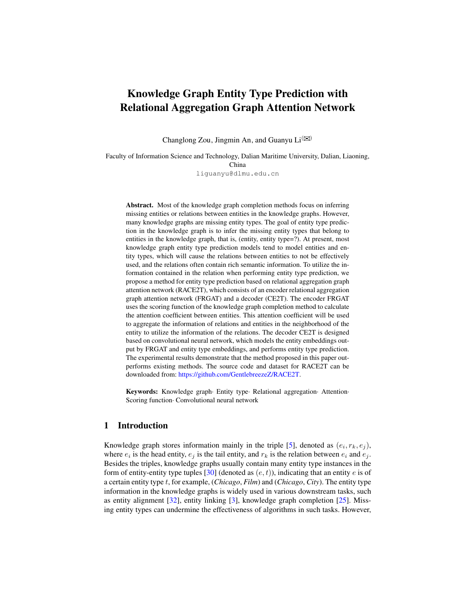# Knowledge Graph Entity Type Prediction with Relational Aggregation Graph Attention Network

Changlong Zou, Jingmin An, and Guanyu  $Li^{(\boxtimes)}$ 

Faculty of Information Science and Technology, Dalian Maritime University, Dalian, Liaoning, China liguanyu@dlmu.edu.cn

Abstract. Most of the knowledge graph completion methods focus on inferring missing entities or relations between entities in the knowledge graphs. However, many knowledge graphs are missing entity types. The goal of entity type prediction in the knowledge graph is to infer the missing entity types that belong to entities in the knowledge graph, that is, (entity, entity type=?). At present, most knowledge graph entity type prediction models tend to model entities and entity types, which will cause the relations between entities to not be effectively used, and the relations often contain rich semantic information. To utilize the information contained in the relation when performing entity type prediction, we propose a method for entity type prediction based on relational aggregation graph attention network (RACE2T), which consists of an encoder relational aggregation graph attention network (FRGAT) and a decoder (CE2T). The encoder FRGAT uses the scoring function of the knowledge graph completion method to calculate the attention coefficient between entities. This attention coefficient will be used to aggregate the information of relations and entities in the neighborhood of the entity to utilize the information of the relations. The decoder CE2T is designed based on convolutional neural network, which models the entity embeddings output by FRGAT and entity type embeddings, and performs entity type prediction. The experimental results demonstrate that the method proposed in this paper outperforms existing methods. The source code and dataset for RACE2T can be downloaded from: [https://github.com/GentlebreezeZ/RACE2T.](https://github.com/GentlebreezeZ/RACE2T)

Keywords: Knowledge graph· Entity type· Relational aggregation· Attention· Scoring function· Convolutional neural network

# 1 Introduction

Knowledge graph stores information mainly in the triple [\[5\]](#page-13-0), denoted as  $(e_i, r_k, e_j)$ , where  $e_i$  is the head entity,  $e_j$  is the tail entity, and  $r_k$  is the relation between  $e_i$  and  $e_j$ . Besides the triples, knowledge graphs usually contain many entity type instances in the form of entity-entity type tuples [\[30\]](#page-14-0) (denoted as  $(e, t)$ ), indicating that an entity e is of a certain entity type t, for example, (*Chicago*, *Film*) and (*Chicago*, *City*). The entity type information in the knowledge graphs is widely used in various downstream tasks, such as entity alignment [\[32\]](#page-14-1), entity linking [\[3\]](#page-13-1), knowledge graph completion [\[25\]](#page-14-2). Missing entity types can undermine the effectiveness of algorithms in such tasks. However,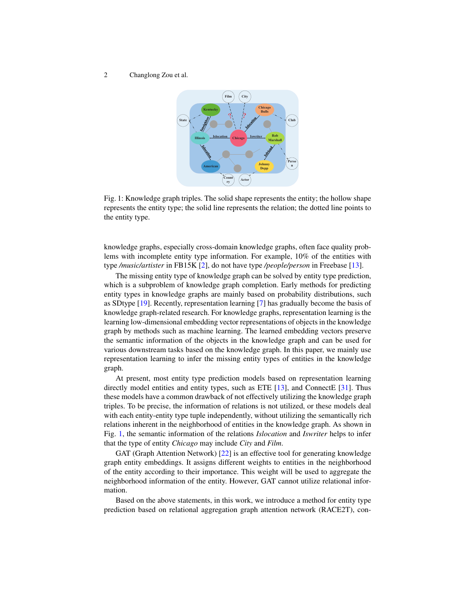<span id="page-1-0"></span>

Fig. 1: Knowledge graph triples. The solid shape represents the entity; the hollow shape represents the entity type; the solid line represents the relation; the dotted line points to the entity type.

knowledge graphs, especially cross-domain knowledge graphs, often face quality problems with incomplete entity type information. For example, 10% of the entities with type */music/artister* in FB15K [\[2\]](#page-13-2), do not have type */people/person* in Freebase [\[13\]](#page-14-3).

The missing entity type of knowledge graph can be solved by entity type prediction, which is a subproblem of knowledge graph completion. Early methods for predicting entity types in knowledge graphs are mainly based on probability distributions, such as SDtype [\[19\]](#page-14-4). Recently, representation learning [\[7\]](#page-13-3) has gradually become the basis of knowledge graph-related research. For knowledge graphs, representation learning is the learning low-dimensional embedding vector representations of objects in the knowledge graph by methods such as machine learning. The learned embedding vectors preserve the semantic information of the objects in the knowledge graph and can be used for various downstream tasks based on the knowledge graph. In this paper, we mainly use representation learning to infer the missing entity types of entities in the knowledge graph.

At present, most entity type prediction models based on representation learning directly model entities and entity types, such as ETE [\[13\]](#page-14-3), and ConnectE [\[31\]](#page-14-5). Thus these models have a common drawback of not effectively utilizing the knowledge graph triples. To be precise, the information of relations is not utilized, or these models deal with each entity-entity type tuple independently, without utilizing the semantically rich relations inherent in the neighborhood of entities in the knowledge graph. As shown in Fig. [1,](#page-1-0) the semantic information of the relations *Islocation* and *Iswriter* helps to infer that the type of entity *Chicago* may include *City* and *Film*.

GAT (Graph Attention Network) [\[22\]](#page-14-6) is an effective tool for generating knowledge graph entity embeddings. It assigns different weights to entities in the neighborhood of the entity according to their importance. This weight will be used to aggregate the neighborhood information of the entity. However, GAT cannot utilize relational information.

Based on the above statements, in this work, we introduce a method for entity type prediction based on relational aggregation graph attention network (RACE2T), con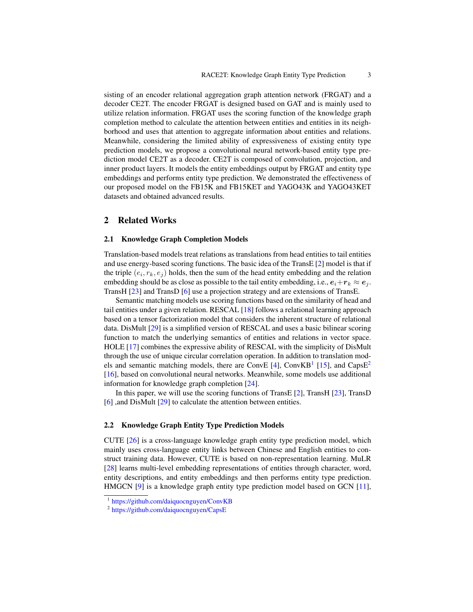sisting of an encoder relational aggregation graph attention network (FRGAT) and a decoder CE2T. The encoder FRGAT is designed based on GAT and is mainly used to utilize relation information. FRGAT uses the scoring function of the knowledge graph completion method to calculate the attention between entities and entities in its neighborhood and uses that attention to aggregate information about entities and relations. Meanwhile, considering the limited ability of expressiveness of existing entity type prediction models, we propose a convolutional neural network-based entity type prediction model CE2T as a decoder. CE2T is composed of convolution, projection, and inner product layers. It models the entity embeddings output by FRGAT and entity type embeddings and performs entity type prediction. We demonstrated the effectiveness of our proposed model on the FB15K and FB15KET and YAGO43K and YAGO43KET datasets and obtained advanced results.

# 2 Related Works

### 2.1 Knowledge Graph Completion Models

Translation-based models treat relations as translations from head entities to tail entities and use energy-based scoring functions. The basic idea of the TransE [\[2\]](#page-13-2) model is that if the triple  $(e_i, r_k, e_j)$  holds, then the sum of the head entity embedding and the relation embedding should be as close as possible to the tail entity embedding, i.e.,  $e_i+r_k \approx e_i$ . TransH [\[23\]](#page-14-7) and TransD [\[6\]](#page-13-4) use a projection strategy and are extensions of TransE.

Semantic matching models use scoring functions based on the similarity of head and tail entities under a given relation. RESCAL [\[18\]](#page-14-8) follows a relational learning approach based on a tensor factorization model that considers the inherent structure of relational data. DisMult [\[29\]](#page-14-9) is a simplified version of RESCAL and uses a basic bilinear scoring function to match the underlying semantics of entities and relations in vector space. HOLE [\[17\]](#page-14-10) combines the expressive ability of RESCAL with the simplicity of DisMult through the use of unique circular correlation operation. In addition to translation mod-els and semantic matching models, there are ConvE [\[4\]](#page-13-5), ConvKB<sup>[1](#page-2-0)</sup> [\[15\]](#page-14-11), and CapsE<sup>[2](#page-2-1)</sup> [\[16\]](#page-14-12), based on convolutional neural networks. Meanwhile, some models use additional information for knowledge graph completion [\[24\]](#page-14-13).

In this paper, we will use the scoring functions of TransE  $[2]$ , TransH  $[23]$ , TransD [\[6\]](#page-13-4) ,and DisMult [\[29\]](#page-14-9) to calculate the attention between entities.

### 2.2 Knowledge Graph Entity Type Prediction Models

CUTE [\[26\]](#page-14-14) is a cross-language knowledge graph entity type prediction model, which mainly uses cross-language entity links between Chinese and English entities to construct training data. However, CUTE is based on non-representation learning. MuLR [\[28\]](#page-14-15) learns multi-level embedding representations of entities through character, word, entity descriptions, and entity embeddings and then performs entity type prediction. HMGCN [\[9\]](#page-13-6) is a knowledge graph entity type prediction model based on GCN [\[11\]](#page-14-16),

<span id="page-2-0"></span><sup>1</sup> <https://github.com/daiquocnguyen/ConvKB>

<span id="page-2-1"></span><sup>&</sup>lt;sup>2</sup> <https://github.com/daiquocnguyen/CapsE>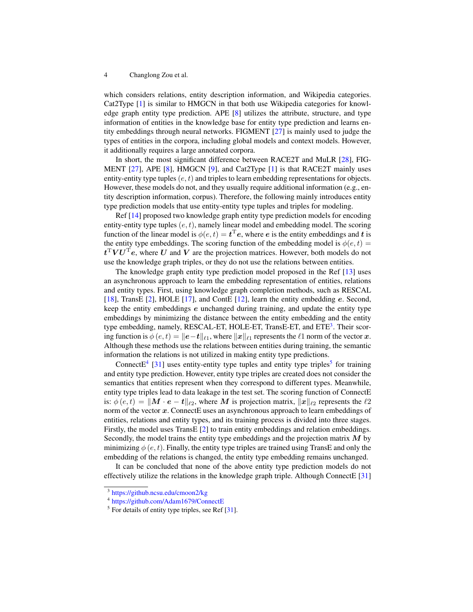which considers relations, entity description information, and Wikipedia categories. Cat2Type [\[1\]](#page-13-7) is similar to HMGCN in that both use Wikipedia categories for knowledge graph entity type prediction. APE [\[8\]](#page-13-8) utilizes the attribute, structure, and type information of entities in the knowledge base for entity type prediction and learns entity embeddings through neural networks. FIGMENT [\[27\]](#page-14-17) is mainly used to judge the types of entities in the corpora, including global models and context models. However, it additionally requires a large annotated corpora.

In short, the most significant difference between RACE2T and MuLR [\[28\]](#page-14-15), FIG-MENT [\[27\]](#page-14-17), APE [\[8\]](#page-13-8), HMGCN [\[9\]](#page-13-6), and Cat2Type [\[1\]](#page-13-7) is that RACE2T mainly uses entity-entity type tuples  $(e, t)$  and triples to learn embedding representations for objects. However, these models do not, and they usually require additional information (e.g., entity description information, corpus). Therefore, the following mainly introduces entity type prediction models that use entity-entity type tuples and triples for modeling.

Ref [\[14\]](#page-14-18) proposed two knowledge graph entity type prediction models for encoding entity-entity type tuples  $(e, t)$ , namely linear model and embedding model. The scoring function of the linear model is  $\phi(e, t) = t^{\mathrm{T}} e$ , where e is the entity embeddings and t is the entity type embeddings. The scoring function of the embedding model is  $\phi(e, t)$  $t^T V U^T e$ , where U and V are the projection matrices. However, both models do not use the knowledge graph triples, or they do not use the relations between entities.

The knowledge graph entity type prediction model proposed in the Ref [\[13\]](#page-14-3) uses an asynchronous approach to learn the embedding representation of entities, relations and entity types. First, using knowledge graph completion methods, such as RESCAL [\[18\]](#page-14-8), TransE [\[2\]](#page-13-2), HOLE [\[17\]](#page-14-10), and ContE [\[12\]](#page-14-19), learn the entity embedding e. Second, keep the entity embeddings e unchanged during training, and update the entity type embeddings by minimizing the distance between the entity embedding and the entity type embedding, namely, RESCAL-ET, HOLE-ET, TransE-ET, and ETE<sup>[3](#page-3-0)</sup>. Their scoring function is  $\phi(e, t) = ||e-t||_{\ell1}$ , where  $||x||_{\ell1}$  represents the  $\ell1$  norm of the vector x. Although these methods use the relations between entities during training, the semantic information the relations is not utilized in making entity type predictions.

ConnectE<sup>[4](#page-3-1)</sup> [\[31\]](#page-14-5) uses entity-entity type tuples and entity type triples<sup>[5](#page-3-2)</sup> for training and entity type prediction. However, entity type triples are created does not consider the semantics that entities represent when they correspond to different types. Meanwhile, entity type triples lead to data leakage in the test set. The scoring function of ConnectE is:  $\phi(e, t) = ||\mathbf{M} \cdot \mathbf{e} - \mathbf{t}||_{\ell_2}$ , where M is projection matrix,  $||\mathbf{x}||_{\ell_2}$  represents the  $\ell_2$ norm of the vector  $x$ . ConnectE uses an asynchronous approach to learn embeddings of entities, relations and entity types, and its training process is divided into three stages. Firstly, the model uses TransE [\[2\]](#page-13-2) to train entity embeddings and relation embeddings. Secondly, the model trains the entity type embeddings and the projection matrix  $M$  by minimizing  $\phi(e, t)$ . Finally, the entity type triples are trained using TransE and only the embedding of the relations is changed, the entity type embedding remains unchanged.

It can be concluded that none of the above entity type prediction models do not effectively utilize the relations in the knowledge graph triple. Although ConnectE [\[31\]](#page-14-5)

<span id="page-3-0"></span><sup>3</sup> <https://github.ncsu.edu/cmoon2/kg>

<span id="page-3-1"></span><sup>4</sup> <https://github.com/Adam1679/ConnectE>

<span id="page-3-2"></span> $<sup>5</sup>$  For details of entity type triples, see Ref  $[31]$ .</sup>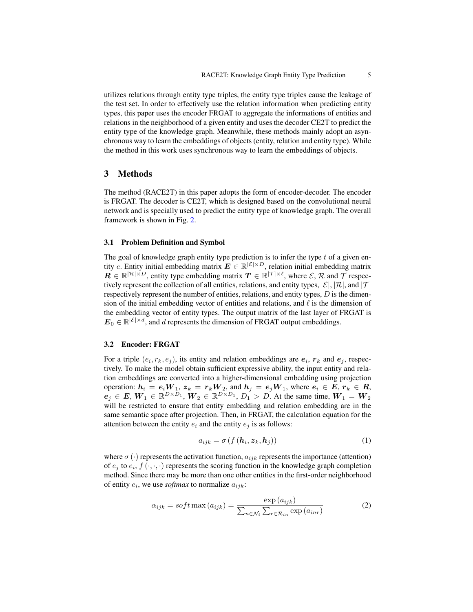utilizes relations through entity type triples, the entity type triples cause the leakage of the test set. In order to effectively use the relation information when predicting entity types, this paper uses the encoder FRGAT to aggregate the informations of entities and relations in the neighborhood of a given entity and uses the decoder CE2T to predict the entity type of the knowledge graph. Meanwhile, these methods mainly adopt an asynchronous way to learn the embeddings of objects (entity, relation and entity type). While the method in this work uses synchronous way to learn the embeddings of objects.

# 3 Methods

The method (RACE2T) in this paper adopts the form of encoder-decoder. The encoder is FRGAT. The decoder is CE2T, which is designed based on the convolutional neural network and is specially used to predict the entity type of knowledge graph. The overall framework is shown in Fig. [2.](#page-5-0)

### 3.1 Problem Definition and Symbol

The goal of knowledge graph entity type prediction is to infer the type  $t$  of a given entity e. Entity initial embedding matrix  $\mathbf{E} \in \mathbb{R}^{|\mathcal{E}| \times D}$ , relation initial embedding matrix  $\mathbf{R} \in \mathbb{R}^{|\mathcal{R}| \times D}$ , entity type embedding matrix  $\mathbf{T} \in \mathbb{R}^{|\mathcal{T}| \times \ell}$ , where  $\mathcal{E}, \mathcal{R}$  and  $\mathcal{T}$  respectively represent the collection of all entities, relations, and entity types,  $|\mathcal{E}|$ ,  $|\mathcal{R}|$ , and  $|\mathcal{T}|$ respectively represent the number of entities, relations, and entity types,  $D$  is the dimension of the initial embedding vector of entities and relations, and  $\ell$  is the dimension of the embedding vector of entity types. The output matrix of the last layer of FRGAT is  $\mathbf{E}_0 \in \mathbb{R}^{|\mathcal{E}| \times d}$ , and d represents the dimension of FRGAT output embeddings.

### 3.2 Encoder: FRGAT

For a triple  $(e_i, r_k, e_j)$ , its entity and relation embeddings are  $e_i$ ,  $r_k$  and  $e_j$ , respectively. To make the model obtain sufficient expressive ability, the input entity and relation embeddings are converted into a higher-dimensional embedding using projection operation:  $h_i = e_i W_1$ ,  $z_k = r_k W_2$ , and  $h_j = e_j W_1$ , where  $e_i \in E$ ,  $r_k \in R$ ,  $e_j \in E, W_1 \in \mathbb{R}^{D \times D_1}, W_2 \in \mathbb{R}^{D \times D_1}, D_1 > D$ . At the same time,  $W_1 = W_2$ will be restricted to ensure that entity embedding and relation embedding are in the same semantic space after projection. Then, in FRGAT, the calculation equation for the attention between the entity  $e_i$  and the entity  $e_j$  is as follows:

$$
a_{ijk} = \sigma \left( f \left( \boldsymbol{h}_i, \boldsymbol{z}_k, \boldsymbol{h}_j \right) \right) \tag{1}
$$

where  $\sigma(\cdot)$  represents the activation function,  $a_{ijk}$  represents the importance (attention) of  $e_j$  to  $e_i$ ,  $f(\cdot, \cdot, \cdot)$  represents the scoring function in the knowledge graph completion method. Since there may be more than one other entities in the first-order neighborhood of entity  $e_i$ , we use *softmax* to normalize  $a_{ijk}$ :

$$
\alpha_{ijk} = soft \max(a_{ijk}) = \frac{\exp(a_{ijk})}{\sum_{n \in \mathcal{N}_i} \sum_{r \in \mathcal{R}_{in}} \exp(a_{inr})}
$$
(2)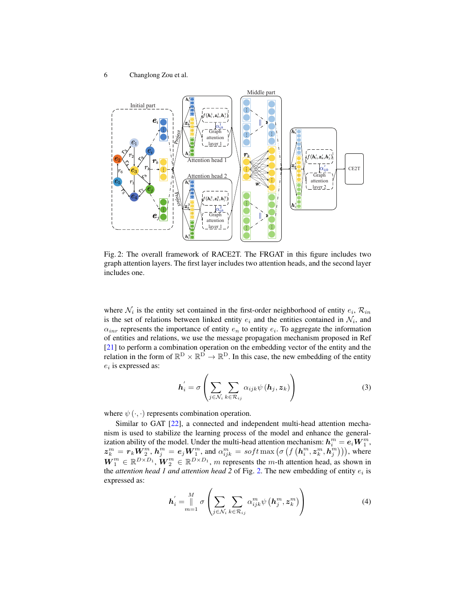<span id="page-5-0"></span>

Fig. 2: The overall framework of RACE2T. The FRGAT in this figure includes two graph attention layers. The first layer includes two attention heads, and the second layer includes one.

where  $\mathcal{N}_i$  is the entity set contained in the first-order neighborhood of entity  $e_i$ ,  $\mathcal{R}_{in}$ is the set of relations between linked entity  $e_i$  and the entities contained in  $\mathcal{N}_i$ , and  $\alpha_{inr}$  represents the importance of entity  $e_n$  to entity  $e_i$ . To aggregate the information of entities and relations, we use the message propagation mechanism proposed in Ref [\[21\]](#page-14-20) to perform a combination operation on the embedding vector of the entity and the relation in the form of  $\mathbb{R}^D \times \mathbb{R}^D \to \mathbb{R}^D$ . In this case, the new embedding of the entity  $e_i$  is expressed as:

$$
\boldsymbol{h}_{i}^{'} = \sigma \left( \sum_{j \in \mathcal{N}_{i}} \sum_{k \in \mathcal{R}_{ij}} \alpha_{ijk} \psi \left( \boldsymbol{h}_{j}, \boldsymbol{z}_{k} \right) \right) \tag{3}
$$

where  $\psi(\cdot, \cdot)$  represents combination operation.

Similar to GAT [\[22\]](#page-14-6), a connected and independent multi-head attention mechanism is used to stabilize the learning process of the model and enhance the generalization ability of the model. Under the multi-head attention mechanism:  $\mathbf{h}_i^m = \mathbf{e}_i \boldsymbol{W}_1^m,$  $\bm{z}_k^m = \bm{r}_k \bm{W}^m_2$ ,  $\bm{h}^m_j = \bm{e}_j \bm{W}^m_1$ , and  $\alpha^m_{ijk} = soft \max \big(\sigma\left(f\left(\bm{h}^m_i, \bm{z}^m_k, \bm{h}^m_j\right)\right)\big)$ , where  $W_1^m \in \mathbb{R}^{D \times D_1}$ ,  $W_2^m \in \mathbb{R}^{D \times D_1}$ , m represents the m-th attention head, as shown in the *attention head 1 and attention head 2* of Fig. [2.](#page-5-0) The new embedding of entity  $e_i$  is expressed as:

$$
\boldsymbol{h}'_i = \bigcup_{m=1}^M \sigma \left( \sum_{j \in \mathcal{N}_i} \sum_{k \in \mathcal{R}_{ij}} \alpha_{ijk}^m \psi \left( \boldsymbol{h}_j^m, \boldsymbol{z}_k^m \right) \right) \tag{4}
$$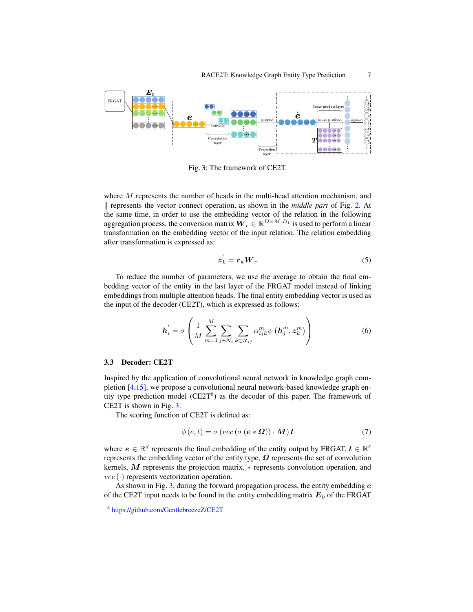<span id="page-6-1"></span>

Fig. 3: The framework of CE2T.

where  $M$  represents the number of heads in the multi-head attention mechanism, and k represents the vector connect operation, as shown in the *middle part* of Fig. [2.](#page-5-0) At the same time, in order to use the embedding vector of the relation in the following aggregation process, the conversion matrix  $W_r \in \mathbb{R}^{D \times M \cdot D_1}$  is used to perform a linear transformation on the embedding vector of the input relation. The relation embedding after transformation is expressed as:

$$
z_k^{'} = r_k W_r \tag{5}
$$

To reduce the number of parameters, we use the average to obtain the final embedding vector of the entity in the last layer of the FRGAT model instead of linking embeddings from multiple attention heads. The final entity embedding vector is used as the input of the decoder (CE2T), which is expressed as follows:

$$
\boldsymbol{h}_{i}^{\prime} = \sigma \left( \frac{1}{M} \sum_{m=1}^{M} \sum_{j \in \mathcal{N}_i} \sum_{k \in \mathcal{R}_{ij}} \alpha_{ijk}^{m} \psi \left( \boldsymbol{h}_{j}^{m}, \boldsymbol{z}_{k}^{m} \right) \right)
$$
(6)

### 3.3 Decoder: CE2T

Inspired by the application of convolutional neural network in knowledge graph completion [\[4](#page-13-5)[,15\]](#page-14-11), we propose a convolutional neural network-based knowledge graph entity type prediction model  $(CE2T<sup>6</sup>)$  $(CE2T<sup>6</sup>)$  $(CE2T<sup>6</sup>)$  as the decoder of this paper. The framework of CE2T is shown in Fig. [3.](#page-6-1)

The scoring function of CE2T is defined as:

$$
\phi(e, t) = \sigma\left( \text{vec}\left( \sigma\left( e * \Omega \right) \right) \cdot M \right) t \tag{7}
$$

where  $e \in \mathbb{R}^d$  represents the final embedding of the entity output by FRGAT,  $t \in \mathbb{R}^{\ell}$ represents the embedding vector of the entity type,  $\Omega$  represents the set of convolution kernels, M represents the projection matrix, ∗ represents convolution operation, and  $vec(\cdot)$  represents vectorization operation.

As shown in Fig. [3,](#page-6-1) during the forward propagation process, the entity embedding  $e$ of the CE2T input needs to be found in the entity embedding matrix  $E_0$  of the FRGAT

<span id="page-6-0"></span><sup>6</sup> <https://github.com/GentlebreezeZ/CE2T>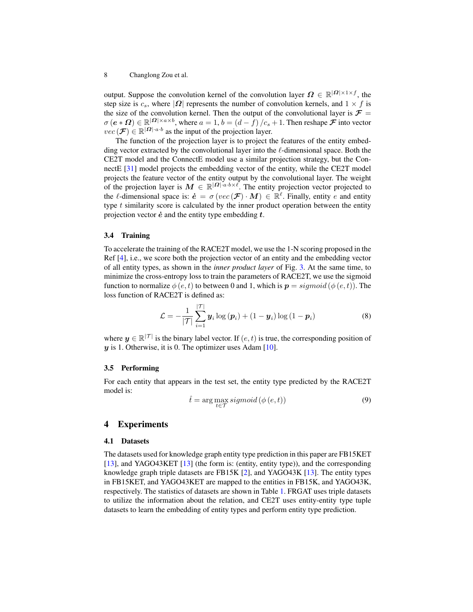output. Suppose the convolution kernel of the convolution layer  $\Omega \in \mathbb{R}^{|\Omega| \times 1 \times f}$ , the step size is  $c_s$ , where  $|\Omega|$  represents the number of convolution kernels, and  $1 \times f$  is the size of the convolution kernel. Then the output of the convolutional layer is  $\mathcal{F} =$  $\sigma(e \ast \Omega) \in \mathbb{R}^{|\Omega| \times a \times b}$ , where  $a = 1$ ,  $b = (d - \overline{f})/c_s + 1$ . Then reshape  $\mathcal F$  into vector  $vec(\mathcal{F}) \in \mathbb{R}^{|\Omega| \cdot a \cdot b}$  as the input of the projection layer.

The function of the projection layer is to project the features of the entity embedding vector extracted by the convolutional layer into the  $\ell$ -dimensional space. Both the CE2T model and the ConnectE model use a similar projection strategy, but the ConnectE [\[31\]](#page-14-5) model projects the embedding vector of the entity, while the CE2T model projects the feature vector of the entity output by the convolutional layer. The weight of the projection layer is  $M \in \mathbb{R}^{|\Omega| \cdot a \cdot b \times \ell}$ . The entity projection vector projected to the  $\ell$ -dimensional space is:  $\dot{\mathbf{e}} = \sigma (vec(\mathcal{F}) \cdot \mathbf{M}) \in \mathbb{R}^{\ell}$ . Finally, entity e and entity type  $t$  similarity score is calculated by the inner product operation between the entity projection vector  $\dot{e}$  and the entity type embedding  $t$ .

### 3.4 Training

To accelerate the training of the RACE2T model, we use the 1-N scoring proposed in the Ref [\[4\]](#page-13-5), i.e., we score both the projection vector of an entity and the embedding vector of all entity types, as shown in the *inner product layer* of Fig. [3.](#page-6-1) At the same time, to minimize the cross-entropy loss to train the parameters of RACE2T, we use the sigmoid function to normalize  $\phi(e, t)$  to between 0 and 1, which is  $p = sigmoid(\phi(e, t))$ . The loss function of RACE2T is defined as:

$$
\mathcal{L} = -\frac{1}{|\mathcal{T}|} \sum_{i=1}^{|\mathcal{T}|} \boldsymbol{y}_i \log(\boldsymbol{p}_i) + (1 - \boldsymbol{y}_i) \log(1 - \boldsymbol{p}_i)
$$
(8)

where  $y \in \mathbb{R}^{|\mathcal{T}|}$  is the binary label vector. If  $(e, t)$  is true, the corresponding position of  $y$  is 1. Otherwise, it is 0. The optimizer uses Adam [\[10\]](#page-14-21).

### 3.5 Performing

For each entity that appears in the test set, the entity type predicted by the RACE2T model is:

<span id="page-7-0"></span>
$$
\hat{t} = \arg\max_{t \in \mathcal{T}} sigmoid\left(\phi\left(e, t\right)\right) \tag{9}
$$

# 4 Experiments

### 4.1 Datasets

The datasets used for knowledge graph entity type prediction in this paper are FB15KET [\[13\]](#page-14-3), and YAGO43KET [13] (the form is: (entity, entity type)), and the corresponding knowledge graph triple datasets are FB15K  $[2]$ , and YAGO43K  $[13]$ . The entity types in FB15KET, and YAGO43KET are mapped to the entities in FB15K, and YAGO43K, respectively. The statistics of datasets are shown in Table [1.](#page-8-0) FRGAT uses triple datasets to utilize the information about the relation, and CE2T uses entity-entity type tuple datasets to learn the embedding of entity types and perform entity type prediction.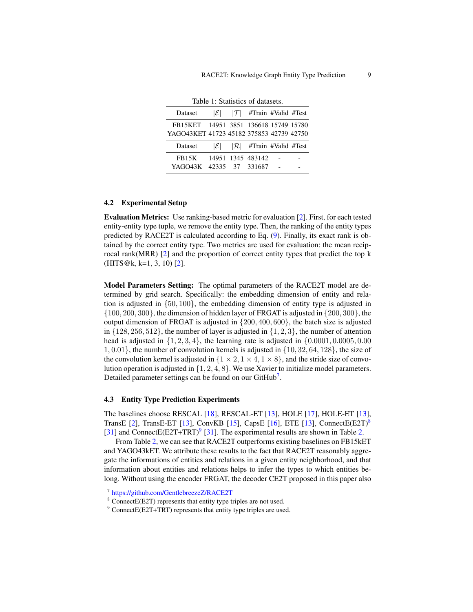<span id="page-8-0"></span>

| Dataset                                                                           | $ \mathcal{E} $ | $ \mathcal{T} $ #Train #Valid #Test |  |
|-----------------------------------------------------------------------------------|-----------------|-------------------------------------|--|
| FB15KET 14951 3851 136618 15749 15780<br>YAGO43KET 41723 45182 375853 42739 42750 |                 |                                     |  |
| Dataset                                                                           | $ \mathcal{E} $ | $ \mathcal{R} $ #Train #Valid #Test |  |
| FB <sub>15</sub> K<br>YAGO43K 42335 37 331687                                     |                 | 14951 1345 483142                   |  |
|                                                                                   |                 |                                     |  |

### 4.2 Experimental Setup

Evaluation Metrics: Use ranking-based metric for evaluation [\[2\]](#page-13-2). First, for each tested entity-entity type tuple, we remove the entity type. Then, the ranking of the entity types predicted by RACE2T is calculated according to Eq. [\(9\)](#page-7-0). Finally, its exact rank is obtained by the correct entity type. Two metrics are used for evaluation: the mean reciprocal rank(MRR) [\[2\]](#page-13-2) and the proportion of correct entity types that predict the top k  $(HITS@k, k=1, 3, 10) [2].$  $(HITS@k, k=1, 3, 10) [2].$  $(HITS@k, k=1, 3, 10) [2].$ 

Model Parameters Setting: The optimal parameters of the RACE2T model are determined by grid search. Specifically: the embedding dimension of entity and relation is adjusted in  $\{50, 100\}$ , the embedding dimension of entity type is adjusted in  $\{100, 200, 300\}$ , the dimension of hidden layer of FRGAT is adjusted in  $\{200, 300\}$ , the output dimension of FRGAT is adjusted in {200, 400, 600}, the batch size is adjusted in  $\{128, 256, 512\}$ , the number of layer is adjusted in  $\{1, 2, 3\}$ , the number of attention head is adjusted in  $\{1, 2, 3, 4\}$ , the learning rate is adjusted in  $\{0.0001, 0.0005, 0.00$ 1, 0.01}, the number of convolution kernels is adjusted in {10, 32, 64, 128}, the size of the convolution kernel is adjusted in  $\{1 \times 2, 1 \times 4, 1 \times 8\}$ , and the stride size of convolution operation is adjusted in {1, 2, 4, 8}. We use Xavier to initialize model parameters. Detailed parameter settings can be found on our GitHub<sup>[7](#page-8-1)</sup>.

### 4.3 Entity Type Prediction Experiments

The baselines choose RESCAL [\[18\]](#page-14-8), RESCAL-ET [\[13\]](#page-14-3), HOLE [\[17\]](#page-14-10), HOLE-ET [\[13\]](#page-14-3), TransE [\[2\]](#page-13-2), TransE-ET [\[13\]](#page-14-3), ConvKB [\[15\]](#page-14-11), CapsE [\[16\]](#page-14-12), ETE [13], ConnectE(E2T)<sup>[8](#page-8-2)</sup> [\[31\]](#page-14-5) and ConnectE(E2T+TRT)<sup>[9](#page-8-3)</sup> [31]. The experimental results are shown in Table [2.](#page-9-0)

From Table [2,](#page-9-0) we can see that RACE2T outperforms existing baselines on FB15kET and YAGO43kET. We attribute these results to the fact that RACE2T reasonably aggregate the informations of entities and relations in a given entity neighborhood, and that information about entities and relations helps to infer the types to which entities belong. Without using the encoder FRGAT, the decoder CE2T proposed in this paper also

<span id="page-8-1"></span><sup>7</sup> <https://github.com/GentlebreezeZ/RACE2T>

<span id="page-8-2"></span><sup>8</sup> ConnectE(E2T) represents that entity type triples are not used.

<span id="page-8-3"></span><sup>&</sup>lt;sup>9</sup> ConnectE(E2T+TRT) represents that entity type triples are used.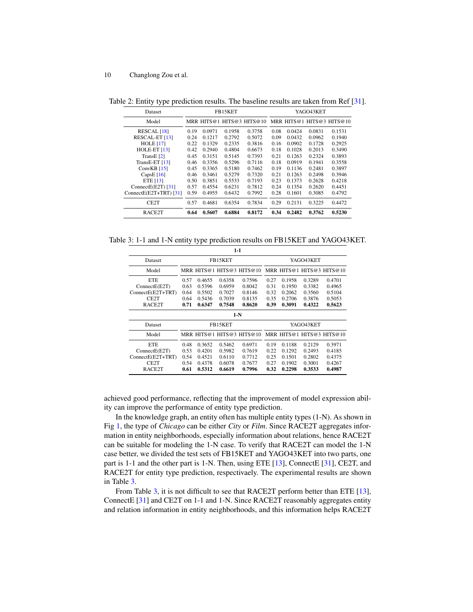<span id="page-9-0"></span>Table 2: Entity type prediction results. The baseline results are taken from Ref [\[31\]](#page-14-5).

| Dataset                   | FB15KET |        |        |                                                     |      | YAGO43KET |        |        |  |
|---------------------------|---------|--------|--------|-----------------------------------------------------|------|-----------|--------|--------|--|
| Model                     |         |        |        | MRR HITS@1 HITS@3 HITS@10 MRR HITS@1 HITS@3 HITS@10 |      |           |        |        |  |
| RESCAL <sup>[18]</sup>    | 0.19    | 0.0971 | 0.1958 | 0.3758                                              | 0.08 | 0.0424    | 0.0831 | 0.1531 |  |
| RESCAL-ET [13]            | 0.24    | 0.1217 | 0.2792 | 0.5072                                              | 0.09 | 0.0432    | 0.0962 | 0.1940 |  |
| <b>HOLE</b> [17]          | 0.22    | 0.1329 | 0.2335 | 0.3816                                              | 0.16 | 0.0902    | 0.1728 | 0.2925 |  |
| HOLE-ET [13]              | 0.42    | 0.2940 | 0.4804 | 0.6673                                              | 0.18 | 0.1028    | 0.2013 | 0.3490 |  |
| TransE $[2]$              | 0.45    | 0.3151 | 0.5145 | 0.7393                                              | 0.21 | 0.1263    | 0.2324 | 0.3893 |  |
| TransE-ET [13]            | 0.46    | 0.3356 | 0.5296 | 0.7116                                              | 0.18 | 0.0919    | 0.1941 | 0.3558 |  |
| Conv $KB$ [15]            | 0.45    | 0.3365 | 0.5180 | 0.7462                                              | 0.19 | 0.1136    | 0.2481 | 0.3897 |  |
| CapsE $[16]$              | 0.46    | 0.3461 | 0.5279 | 0.7320                                              | 0.21 | 0.1263    | 0.2498 | 0.3946 |  |
| ETE $[13]$                | 0.50    | 0.3851 | 0.5533 | 0.7193                                              | 0.23 | 0.1373    | 0.2628 | 0.4218 |  |
| ConnectE $(E2T)$ [31]     | 0.57    | 0.4554 | 0.6231 | 0.7812                                              | 0.24 | 0.1354    | 0.2620 | 0.4451 |  |
| ConnectE $(E2T+TRT)$ [31] | 0.59    | 0.4955 | 0.6432 | 0.7992                                              | 0.28 | 0.1601    | 0.3085 | 0.4792 |  |
| CE2T                      | 0.57    | 0.4681 | 0.6354 | 0.7834                                              | 0.29 | 0.2131    | 0.3225 | 0.4472 |  |
| RACE <sub>2</sub> T       | 0.64    | 0.5607 | 0.6884 | 0.8172                                              | 0.34 | 0.2482    | 0.3762 | 0.5230 |  |

<span id="page-9-1"></span>Table 3: 1-1 and 1-N entity type prediction results on FB15KET and YAGO43KET.

| $1-1$               |                                                      |        |         |                                                      |           |        |        |        |  |
|---------------------|------------------------------------------------------|--------|---------|------------------------------------------------------|-----------|--------|--------|--------|--|
| Dataset             |                                                      |        | FB15KET |                                                      | YAGO43KET |        |        |        |  |
| Model               | MRR HITS@1 HITS@3 HITS@10  MRR HITS@1 HITS@3 HITS@10 |        |         |                                                      |           |        |        |        |  |
| <b>ETE</b>          | 0.57                                                 | 0.4655 | 0.6358  | 0.7596                                               | 0.27      | 0.1958 | 0.3289 | 0.4701 |  |
| ConnectE(EX)        | 0.63                                                 | 0.5396 | 0.6959  | 0.8042                                               | 0.31      | 0.1950 | 0.3382 | 0.4965 |  |
| ConnectE(E2T+TRT)   | 0.64                                                 | 0.5502 | 0.7027  | 0.8146                                               | 0.32      | 0.2062 | 0.3560 | 0.5104 |  |
| CE <sub>2</sub> T   | 0.64                                                 | 0.5436 | 0.7039  | 0.8135                                               | 0.35      | 0.2706 | 0.3876 | 0.5053 |  |
| RACE <sub>2</sub> T | 0.71                                                 | 0.6347 | 0.7548  | 0.8620                                               | 0.39      | 0.3091 | 0.4322 | 0.5623 |  |
|                     | $1-N$                                                |        |         |                                                      |           |        |        |        |  |
|                     | FB15KET<br>YAGO43KET                                 |        |         |                                                      |           |        |        |        |  |
| Dataset             |                                                      |        |         |                                                      |           |        |        |        |  |
| Model               |                                                      |        |         | MRR HITS@1 HITS@3 HITS@10  MRR HITS@1 HITS@3 HITS@10 |           |        |        |        |  |
| <b>ETE</b>          | 0.48                                                 | 0.3652 | 0.5462  | 0.6971                                               | 0.19      | 0.1188 | 0.2129 | 0.3971 |  |
| ConnectE(EX)        | 0.53                                                 | 0.4201 | 0.5982  | 0.7619                                               | 0.22      | 0.1292 | 0.2493 | 0.4185 |  |
| ConnectE(E2T+TRT)   | 0.54                                                 | 0.4521 | 0.6110  | 0.7712                                               | 0.25      | 0.1501 | 0.2802 | 0.4375 |  |
| CE <sub>2</sub> T   | 0.54                                                 | 0.4378 | 0.6078  | 0.7677                                               | 0.27      | 0.1902 | 0.3001 | 0.4267 |  |

achieved good performance, reflecting that the improvement of model expression ability can improve the performance of entity type prediction.

In the knowledge graph, an entity often has multiple entity types (1-N). As shown in Fig [1,](#page-1-0) the type of *Chicago* can be either *City* or *Film*. Since RACE2T aggregates information in entity neighborhoods, especially information about relations, hence RACE2T can be suitable for modeling the 1-N case. To verify that RACE2T can model the 1-N case better, we divided the test sets of FB15KET and YAGO43KET into two parts, one part is 1-1 and the other part is 1-N. Then, using ETE [\[13\]](#page-14-3), ConnectE [\[31\]](#page-14-5), CE2T, and RACE2T for entity type prediction, respectivaely. The experimental results are shown in Table [3.](#page-9-1)

From Table [3,](#page-9-1) it is not difficult to see that RACE2T perform better than ETE [\[13\]](#page-14-3), ConnectE [\[31\]](#page-14-5) and CE2T on 1-1 and 1-N. Since RACE2T reasonably aggregates entity and relation information in entity neighborhoods, and this information helps RACE2T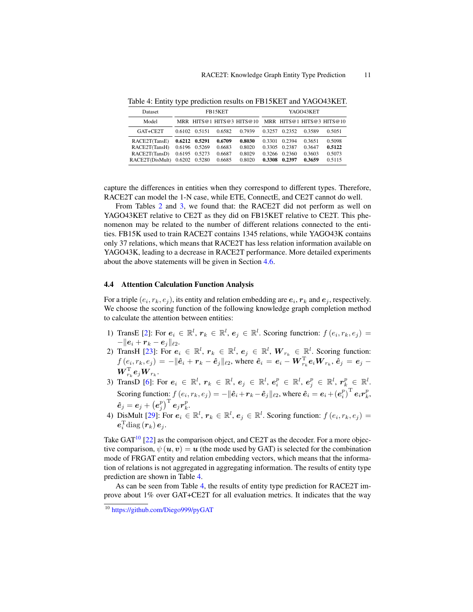| Dataset         |                   | FB15KET |                                                     | YAGO43KET |        |        |        |
|-----------------|-------------------|---------|-----------------------------------------------------|-----------|--------|--------|--------|
| Model           |                   |         | MRR HITS@1 HITS@3 HITS@10 MRR HITS@1 HITS@3 HITS@10 |           |        |        |        |
| GAT+CE2T        | 0.6102 0.5151     | 0.6582  | 0.7939                                              | 0.3257    | 0.2352 | 0.3589 | 0.5051 |
| RACE2T(TansE)   | $0.6212$ $0.5291$ | 0.6709  | 0.8030                                              | 0.3301    | 0.2394 | 0.3651 | 0.5098 |
| RACE2T(TansH)   | 0.6196 0.5269     | 0.6683  | 0.8020                                              | 0.3305    | 0.2387 | 0.3647 | 0.5122 |
| RACE2T(TansD)   | 0.6195 0.5273     | 0.6687  | 0.8029                                              | 0.3266    | 0.2360 | 0.3603 | 0.5073 |
| RACE2T(DisMult) | 0.6202 0.5280     | 0.6685  | 0.8020                                              | 0.3308    | 0.2397 | 0.3659 | 0.5115 |

<span id="page-10-1"></span>Table 4: Entity type prediction results on FB15KET and YAGO43KET.

capture the differences in entities when they correspond to different types. Therefore, RACE2T can model the 1-N case, while ETE, ConnectE, and CE2T cannot do well.

From Tables [2](#page-9-0) and [3,](#page-9-1) we found that: the RACE2T did not perform as well on YAGO43KET relative to CE2T as they did on FB15KET relative to CE2T. This phenomenon may be related to the number of different relations connected to the entities. FB15K used to train RACE2T contains 1345 relations, while YAGO43K contains only 37 relations, which means that RACE2T has less relation information available on YAGO43K, leading to a decrease in RACE2T performance. More detailed experiments about the above statements will be given in Section [4.6.](#page-11-0)

### 4.4 Attention Calculation Function Analysis

For a triple  $(e_i, r_k, e_j)$ , its entity and relation embedding are  $e_i, r_k$  and  $e_j$ , respectively. We choose the scoring function of the following knowledge graph completion method to calculate the attention between entities:

- 1) TransE [\[2\]](#page-13-2): For  $e_i \in \mathbb{R}^l$ ,  $r_k \in \mathbb{R}^l$ ,  $e_j \in \mathbb{R}^l$ . Scoring functrion:  $f(e_i, r_k, e_j) =$  $-\|\boldsymbol{e}_i + \boldsymbol{r}_k - \boldsymbol{e}_j\|_{\ell2}.$
- 2) TransH [\[23\]](#page-14-7): For  $e_i \in \mathbb{R}^l$ ,  $r_k \in \mathbb{R}^l$ ,  $e_j \in \mathbb{R}^l$ ,  $W_{r_k} \in \mathbb{R}^l$ . Scoring function:  $f(e_i, r_k, e_j) = -\|\hat{\bm{e}}_i + \bm{r}_k - \hat{\bm{e}}_j\|_{\ell2}$ , where  $\hat{\bm{e}}_i = \bm{e}_i - \bm{W}_{r_k}^{\mathrm{T}} \bm{e}_i \bm{W}_{r_k}, \hat{\bm{e}}_j = \bm{e}_j - \bm{W}_{r_k}^{\mathrm{T}} \bm{e}_i$  $\boldsymbol{W}_{r_k}^\mathrm{T}\boldsymbol{e}_j\boldsymbol{W}_{r_k}$  .
- 3) TransD [\[6\]](#page-13-4): For  $\bm{e}_i~\in~\mathbb{R}^l,~\bm{r}_k~\in~\mathbb{R}^l,~\bm{e}_j~\in~\mathbb{R}^l,~\bm{e}_i^p~\in~\mathbb{R}^l,~\bm{e}_j^p~\in~\mathbb{R}^l,~\bm{r}_k^p~\in~\mathbb{R}^l.$ Scoring function:  $f(e_i, r_k, e_j) = -\|\hat{\boldsymbol{e}}_i + \boldsymbol{r}_k - \hat{\boldsymbol{e}}_j\|_{\ell2}$ , where  $\hat{\boldsymbol{e}}_i = \boldsymbol{e}_i + \left(\boldsymbol{e}_i^p\right)^{\text{T}} \boldsymbol{e}_i \boldsymbol{r}_k^p$ ,  $\boldsymbol{\hat{e}}_j = \boldsymbol{e}_j + \left(\boldsymbol{e}_j^p\right)^{\text{T}} \boldsymbol{e}_j \boldsymbol{r}_k^p.$
- $e_j e_j + (e_j) e_j r_k$ .<br>
4) DisMult [\[29\]](#page-14-9): For  $e_i \in \mathbb{R}^l$ ,  $r_k \in \mathbb{R}^l$ ,  $e_j \in \mathbb{R}^l$ . Scoring function:  $f(e_i, r_k, e_j) =$  $\bm{e}_i^{\text{T}}\text{diag}\left(\bm{r}_k\right)\bm{e}_j.$

Take  $GAT^{10}$  $GAT^{10}$  $GAT^{10}$  [\[22\]](#page-14-6) as the comparison object, and CE2T as the decoder. For a more objective comparison,  $\psi(\mathbf{u}, \mathbf{v}) = \mathbf{u}$  (the mode used by GAT) is selected for the combination mode of FRGAT entity and relation embedding vectors, which means that the information of relations is not aggregated in aggregating information. The results of entity type prediction are shown in Table [4.](#page-10-1)

As can be seen from Table [4,](#page-10-1) the results of entity type prediction for RACE2T improve about 1% over GAT+CE2T for all evaluation metrics. It indicates that the way

<span id="page-10-0"></span><sup>10</sup> <https://github.com/Diego999/pyGAT>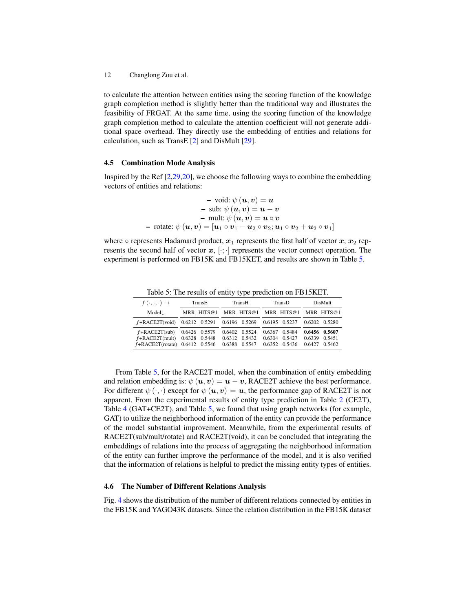to calculate the attention between entities using the scoring function of the knowledge graph completion method is slightly better than the traditional way and illustrates the feasibility of FRGAT. At the same time, using the scoring function of the knowledge graph completion method to calculate the attention coefficient will not generate additional space overhead. They directly use the embedding of entities and relations for calculation, such as TransE [\[2\]](#page-13-2) and DisMult [\[29\]](#page-14-9).

#### 4.5 Combination Mode Analysis

Inspired by the Ref [\[2,](#page-13-2)[29,](#page-14-9)[20\]](#page-14-22), we choose the following ways to combine the embedding vectors of entities and relations:

- void: 
$$
\psi(u, v) = u
$$
  
\n- sub:  $\psi(u, v) = u - v$   
\n- mult:  $\psi(u, v) = u \circ v$   
\n- rotate:  $\psi(u, v) = [u_1 \circ v_1 - u_2 \circ v_2; u_1 \circ v_2 + u_2 \circ v_1]$ 

where  $\circ$  represents Hadamard product,  $x_1$  represents the first half of vector  $x, x_2$  represents the second half of vector  $x, [\cdot; \cdot]$  represents the vector connect operation. The experiment is performed on FB15K and FB15KET, and results are shown in Table [5.](#page-11-1)

Table 5: The results of entity type prediction on FB15KET.

<span id="page-11-1"></span>

| $f(\cdot,\cdot,\cdot) \rightarrow$                                                                         | TransE |  | TransH |                                                               | TransD |                                             | DisMult |                                                     |
|------------------------------------------------------------------------------------------------------------|--------|--|--------|---------------------------------------------------------------|--------|---------------------------------------------|---------|-----------------------------------------------------|
| Model.L                                                                                                    |        |  |        |                                                               |        | MRR HITS@1 MRR HITS@1 MRR HITS@1 MRR HITS@1 |         |                                                     |
| f+RACE2T(void) 0.6212 0.5291 0.6196 0.5269 0.6195 0.5237 0.6202 0.5280                                     |        |  |        |                                                               |        |                                             |         |                                                     |
| $f + RACE2T(sub)$ 0.6426 0.5579<br>$f + RACE2T$ (mult) 0.6328 0.5448<br>$f + RACE2T(rotate)$ 0.6412 0.5546 |        |  |        | 0.6402 0.5524<br>0.6312 0.5432<br>0.6388 0.5547 0.6352 0.5436 |        | 0.6367 0.5484<br>0.6304 0.5427              |         | 0.6456 0.5607<br>0.6339 0.5451<br>$0.6427$ $0.5462$ |

From Table [5,](#page-11-1) for the RACE2T model, when the combination of entity embedding and relation embedding is:  $\psi(\mathbf{u}, \mathbf{v}) = \mathbf{u} - \mathbf{v}$ , RACE2T achieve the best performance. For different  $\psi(\cdot, \cdot)$  except for  $\psi(u, v) = u$ , the performance gap of RACE2T is not apparent. From the experimental results of entity type prediction in Table [2](#page-9-0) (CE2T), Table [4](#page-10-1) (GAT+CE2T), and Table [5,](#page-11-1) we found that using graph networks (for example, GAT) to utilize the neighborhood information of the entity can provide the performance of the model substantial improvement. Meanwhile, from the experimental results of RACE2T(sub/mult/rotate) and RACE2T(void), it can be concluded that integrating the embeddings of relations into the process of aggregating the neighborhood information of the entity can further improve the performance of the model, and it is also verified that the information of relations is helpful to predict the missing entity types of entities.

#### <span id="page-11-0"></span>4.6 The Number of Different Relations Analysis

Fig. [4](#page-12-0) shows the distribution of the number of different relations connected by entities in the FB15K and YAGO43K datasets. Since the relation distribution in the FB15K dataset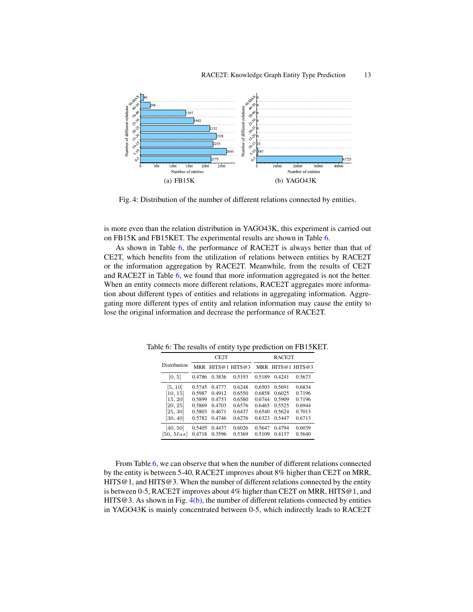<span id="page-12-0"></span>

<span id="page-12-2"></span>Fig. 4: Distribution of the number of different relations connected by entities.

is more even than the relation distribution in YAGO43K, this experiment is carried out on FB15K and FB15KET. The experimental results are shown in Table [6.](#page-12-1)

As shown in Table [6,](#page-12-1) the performance of RACE2T is always better than that of CE2T, which benefits from the utilization of relations between entities by RACE2T or the information aggregation by RACE2T. Meanwhile, from the results of CE2T and RACE2T in Table [6,](#page-12-1) we found that more information aggregated is not the better. When an entity connects more different relations, RACE2T aggregates more information about different types of entities and relations in aggregating information. Aggregating more different types of entity and relation information may cause the entity to lose the original information and decrease the performance of RACE2T.

|              |        | CE <sub>2</sub> T |               | RACE <sub>2</sub> T |        |                   |  |
|--------------|--------|-------------------|---------------|---------------------|--------|-------------------|--|
| Distribution | MRR    |                   | HITS@1 HITS@3 |                     |        | MRR HITS@1 HITS@3 |  |
| [0, 5]       | 0.4786 | 0.3836            | 0.5193        | 0.5189              | 0.4241 | 0.5673            |  |
| [5, 10]      | 0.5745 | 0.4777            | 0.6248        | 0.6503              | 0.5691 | 0.6834            |  |
| [10, 15]     | 0.5987 | 0.4912            | 0.6550        | 0.6858              | 0.6025 | 0.7196            |  |
| [15, 20]     | 0.5899 | 0.4753            | 0.6580        | 0.6744              | 0.5909 | 0.7196            |  |
| [20, 25]     | 0.5869 | 0.4703            | 0.6576        | 0.6465              | 0.5525 | 0.6944            |  |
| [25, 30]     | 0.5803 | 0.4671            | 0.6437        | 0.6540              | 0.5624 | 0.7013            |  |
| [30, 40]     | 0.5782 | 04746             | 0.6276        | 0.6323              | 0.5447 | 0.6713            |  |
| [40, 50]     | 0.5405 | 0.4437            | 0.6026        | 0.5647              | 0.4794 | 0.6039            |  |
| [50, Max]    | 0.4718 | 0.3596            | 0.5369        | 0.5109              | 0.4137 | 0.5640            |  |

<span id="page-12-1"></span>Table 6: The results of entity type prediction on FB15KET.

From Table [6,](#page-12-1) we can observe that when the number of different relations connected by the entity is between 5-40, RACE2T improves about 8% higher than CE2T on MRR, HITS@1, and HITS@3. When the number of different relations connected by the entity is between 0-5, RACE2T improves about 4% higher than CE2T on MRR, HITS@1, and HITS@3. As shown in Fig.  $4(b)$ , the number of different relations connected by entities in YAGO43K is mainly concentrated between 0-5, which indirectly leads to RACE2T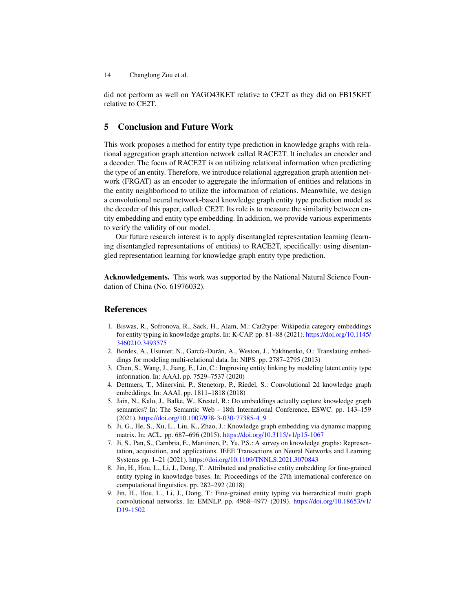did not perform as well on YAGO43KET relative to CE2T as they did on FB15KET relative to CE2T.

# 5 Conclusion and Future Work

This work proposes a method for entity type prediction in knowledge graphs with relational aggregation graph attention network called RACE2T. It includes an encoder and a decoder. The focus of RACE2T is on utilizing relational information when predicting the type of an entity. Therefore, we introduce relational aggregation graph attention network (FRGAT) as an encoder to aggregate the information of entities and relations in the entity neighborhood to utilize the information of relations. Meanwhile, we design a convolutional neural network-based knowledge graph entity type prediction model as the decoder of this paper, called: CE2T. Its role is to measure the similarity between entity embedding and entity type embedding. In addition, we provide various experiments to verify the validity of our model.

Our future research interest is to apply disentangled representation learning (learning disentangled representations of entities) to RACE2T, specifically: using disentangled representation learning for knowledge graph entity type prediction.

Acknowledgements. This work was supported by the National Natural Science Foundation of China (No. 61976032).

# References

- <span id="page-13-7"></span>1. Biswas, R., Sofronova, R., Sack, H., Alam, M.: Cat2type: Wikipedia category embeddings for entity typing in knowledge graphs. In: K-CAP. pp. 81–88 (2021). [https://doi.org/10.1145/](https://doi.org/10.1145/3460210.3493575) [3460210.3493575](https://doi.org/10.1145/3460210.3493575)
- <span id="page-13-2"></span>2. Bordes, A., Usunier, N., García-Durán, A., Weston, J., Yakhnenko, O.: Translating embeddings for modeling multi-relational data. In: NIPS. pp. 2787–2795 (2013)
- <span id="page-13-1"></span>3. Chen, S., Wang, J., Jiang, F., Lin, C.: Improving entity linking by modeling latent entity type information. In: AAAI. pp. 7529–7537 (2020)
- <span id="page-13-5"></span>4. Dettmers, T., Minervini, P., Stenetorp, P., Riedel, S.: Convolutional 2d knowledge graph embeddings. In: AAAI. pp. 1811–1818 (2018)
- <span id="page-13-0"></span>5. Jain, N., Kalo, J., Balke, W., Krestel, R.: Do embeddings actually capture knowledge graph semantics? In: The Semantic Web - 18th International Conference, ESWC. pp. 143–159 (2021). <https://doi.org/10.1007/978-3-030-77385-4\_9>
- <span id="page-13-4"></span>6. Ji, G., He, S., Xu, L., Liu, K., Zhao, J.: Knowledge graph embedding via dynamic mapping matrix. In: ACL. pp. 687–696 (2015). <https://doi.org/10.3115/v1/p15-1067>
- <span id="page-13-3"></span>7. Ji, S., Pan, S., Cambria, E., Marttinen, P., Yu, P.S.: A survey on knowledge graphs: Representation, acquisition, and applications. IEEE Transactions on Neural Networks and Learning Systems pp. 1–21 (2021). <https://doi.org/10.1109/TNNLS.2021.3070843>
- <span id="page-13-8"></span>8. Jin, H., Hou, L., Li, J., Dong, T.: Attributed and predictive entity embedding for fine-grained entity typing in knowledge bases. In: Proceedings of the 27th international conference on computational linguistics. pp. 282–292 (2018)
- <span id="page-13-6"></span>9. Jin, H., Hou, L., Li, J., Dong, T.: Fine-grained entity typing via hierarchical multi graph convolutional networks. In: EMNLP. pp. 4968–4977 (2019). [https://doi.org/10.18653/v1/](https://doi.org/10.18653/v1/D19-1502) [D19-1502](https://doi.org/10.18653/v1/D19-1502)